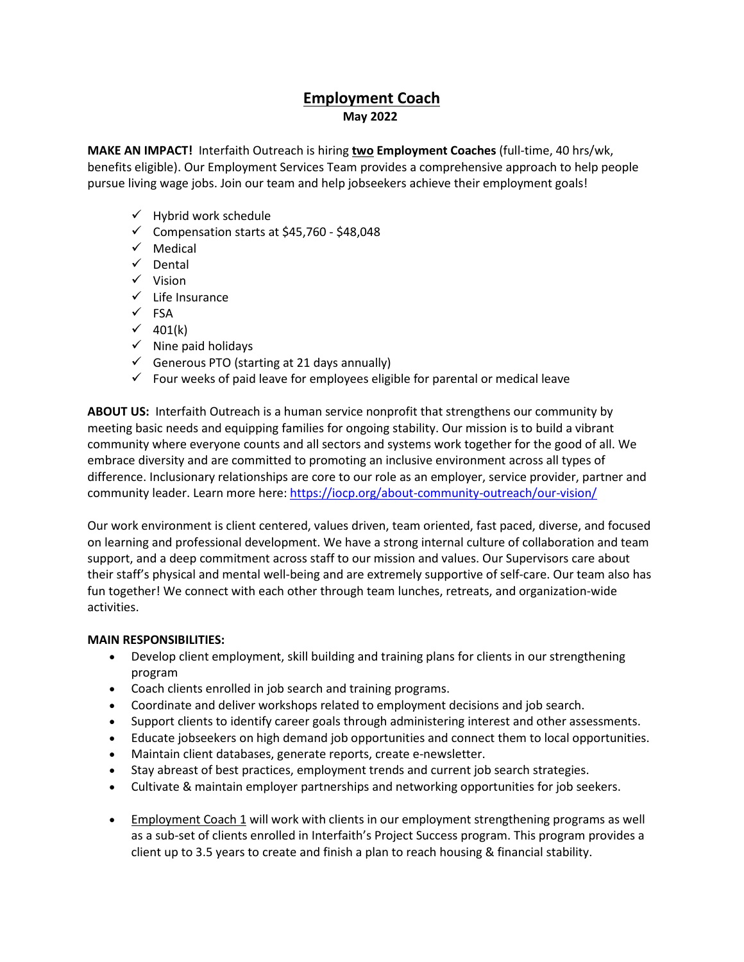# **Employment Coach May 2022**

**MAKE AN IMPACT!** Interfaith Outreach is hiring **two Employment Coaches** (full-time, 40 hrs/wk, benefits eligible). Our Employment Services Team provides a comprehensive approach to help people pursue living wage jobs. Join our team and help jobseekers achieve their employment goals!

- $\checkmark$  Hybrid work schedule
- $\checkmark$  Compensation starts at \$45,760 \$48,048
- $\checkmark$  Medical
- $\checkmark$  Dental
- $\checkmark$  Vision
- $\checkmark$  Life Insurance
- $\checkmark$  FSA
- $\checkmark$  401(k)
- $\checkmark$  Nine paid holidays
- $\checkmark$  Generous PTO (starting at 21 days annually)
- $\checkmark$  Four weeks of paid leave for employees eligible for parental or medical leave

**ABOUT US:** Interfaith Outreach is a human service nonprofit that strengthens our community by meeting basic needs and equipping families for ongoing stability. Our mission is to build a vibrant community where everyone counts and all sectors and systems work together for the good of all. We embrace diversity and are committed to promoting an inclusive environment across all types of difference. Inclusionary relationships are core to our role as an employer, service provider, partner and community leader. Learn more here[: https://iocp.org/about-community-outreach/our-vision/](https://iocp.org/about-community-outreach/our-vision/)

Our work environment is client centered, values driven, team oriented, fast paced, diverse, and focused on learning and professional development. We have a strong internal culture of collaboration and team support, and a deep commitment across staff to our mission and values. Our Supervisors care about their staff's physical and mental well-being and are extremely supportive of self-care. Our team also has fun together! We connect with each other through team lunches, retreats, and organization-wide activities.  

### **MAIN RESPONSIBILITIES:**

- Develop client employment, skill building and training plans for clients in our strengthening program
- Coach clients enrolled in job search and training programs.
- Coordinate and deliver workshops related to employment decisions and job search.
- Support clients to identify career goals through administering interest and other assessments.
- Educate jobseekers on high demand job opportunities and connect them to local opportunities.
- Maintain client databases, generate reports, create e-newsletter.
- Stay abreast of best practices, employment trends and current job search strategies.
- Cultivate & maintain employer partnerships and networking opportunities for job seekers.
- Employment Coach 1 will work with clients in our employment strengthening programs as well as a sub-set of clients enrolled in Interfaith's Project Success program. This program provides a client up to 3.5 years to create and finish a plan to reach housing & financial stability.